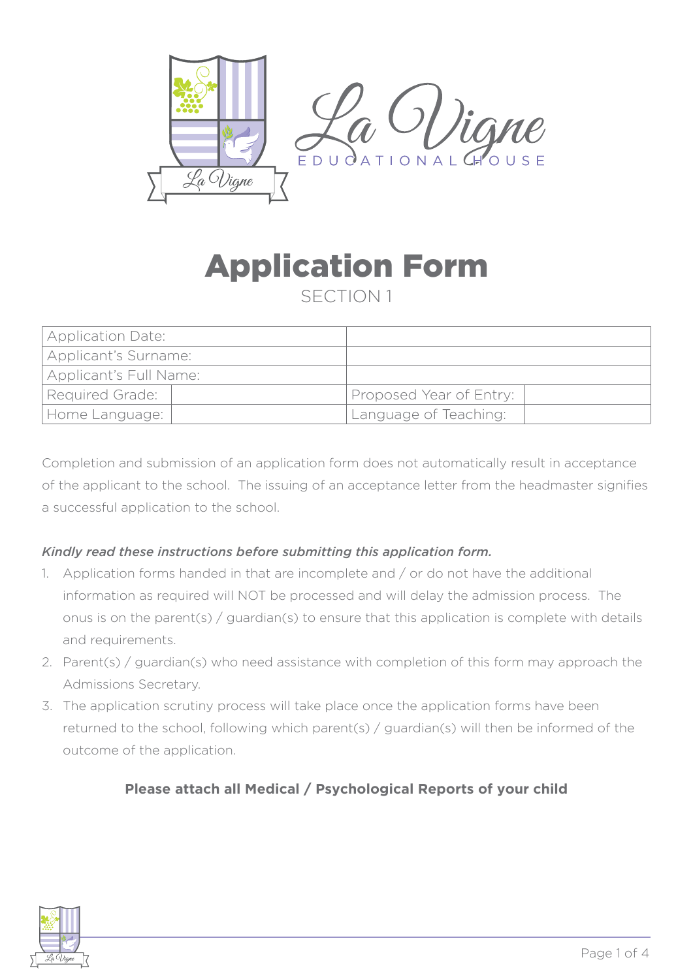

# Application Form

SECTION 1

| <b>Application Date:</b> |                         |
|--------------------------|-------------------------|
| Applicant's Surname:     |                         |
| Applicant's Full Name:   |                         |
| <b>Required Grade:</b>   | Proposed Year of Entry: |
| Home Language:           | Language of Teaching:   |

Completion and submission of an application form does not automatically result in acceptance of the applicant to the school. The issuing of an acceptance letter from the headmaster signifies a successful application to the school.

#### *Kindly read these instructions before submitting this application form.*

- 1. Application forms handed in that are incomplete and / or do not have the additional information as required will NOT be processed and will delay the admission process. The onus is on the parent(s) / guardian(s) to ensure that this application is complete with details and requirements.
- 2. Parent(s) / guardian(s) who need assistance with completion of this form may approach the Admissions Secretary.
- 3. The application scrutiny process will take place once the application forms have been returned to the school, following which parent(s) / guardian(s) will then be informed of the outcome of the application.

#### **Please attach all Medical / Psychological Reports of your child**

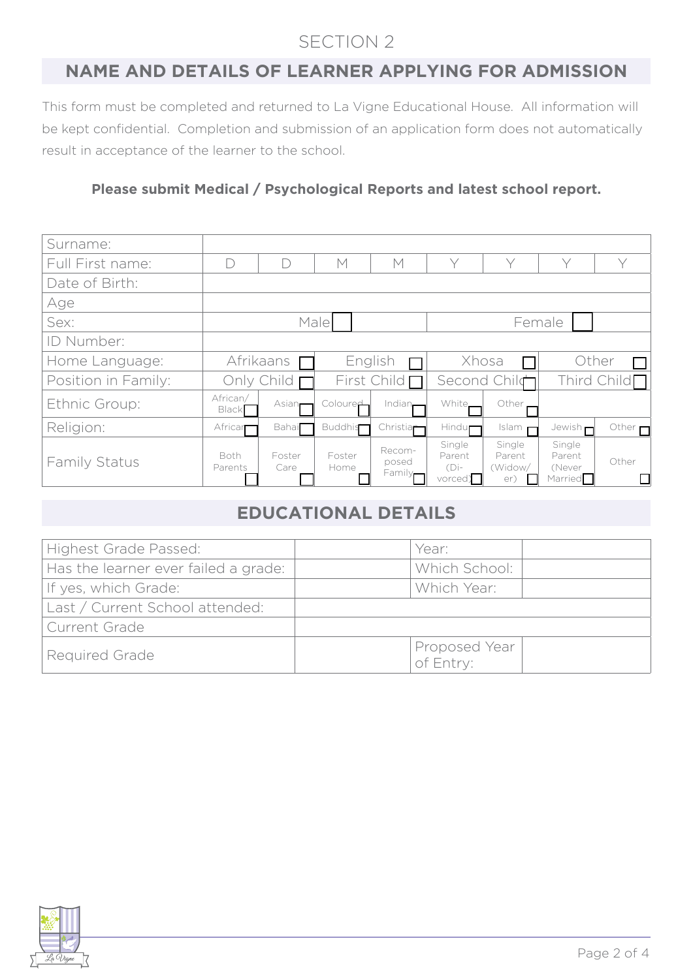# SECTION 2

### **NAME AND DETAILS OF LEARNER APPLYING FOR ADMISSION**

This form must be completed and returned to La Vigne Educational House. All information will be kept confidential. Completion and submission of an application form does not automatically result in acceptance of the learner to the school.

#### **Please submit Medical / Psychological Reports and latest school report.**

| Surname:            |                        |                    |                    |                                        |                                        |                                    |                                                    |                      |
|---------------------|------------------------|--------------------|--------------------|----------------------------------------|----------------------------------------|------------------------------------|----------------------------------------------------|----------------------|
| Full First name:    |                        | $\Box$             | $\mathsf{M}$       | M                                      | Y                                      | $\vee$                             | $\vee$                                             | $\vee$               |
| Date of Birth:      |                        |                    |                    |                                        |                                        |                                    |                                                    |                      |
| Age                 |                        |                    |                    |                                        |                                        |                                    |                                                    |                      |
| Sex:                | Male                   |                    |                    | Female                                 |                                        |                                    |                                                    |                      |
| ID Number:          |                        |                    |                    |                                        |                                        |                                    |                                                    |                      |
| Home Language:      | Afrikaans              |                    | English            |                                        | Xhosa                                  |                                    | Other                                              |                      |
| Position in Family: | Only Child $\Gamma$    |                    | First Child $\Box$ |                                        | Second Child                           |                                    | Third Child $\Box$                                 |                      |
| Ethnic Group:       | African/<br>Black      | Asian <sub>r</sub> | Coloured           | Indian.                                | White.                                 | Other                              |                                                    |                      |
| Religion:           | Africar                | Bahai              | <b>Buddhis</b>     | Christia $\mathsf{\Gamma}$             | Hindu <b>r</b>                         | Islam                              | Jewish n                                           | Other $\blacksquare$ |
| Family Status       | <b>Both</b><br>Parents | Foster<br>Care     | Foster<br>Home     | Recom-<br>posed<br>Family <sub>r</sub> | Single<br>Parent<br>$(Di$ -<br>vorced) | Single<br>Parent<br>(Widow/<br>er) | Single<br>Parent<br>(Never<br>Married <sup>1</sup> | Other                |

# **EDUCATIONAL DETAILS**

| Highest Grade Passed:                | Year:                      |  |
|--------------------------------------|----------------------------|--|
| Has the learner ever failed a grade: | Which School:              |  |
| If yes, which Grade:                 | Which Year:                |  |
| Last / Current School attended:      |                            |  |
| Current Grade                        |                            |  |
| Required Grade                       | Proposed Year<br>of Entry: |  |

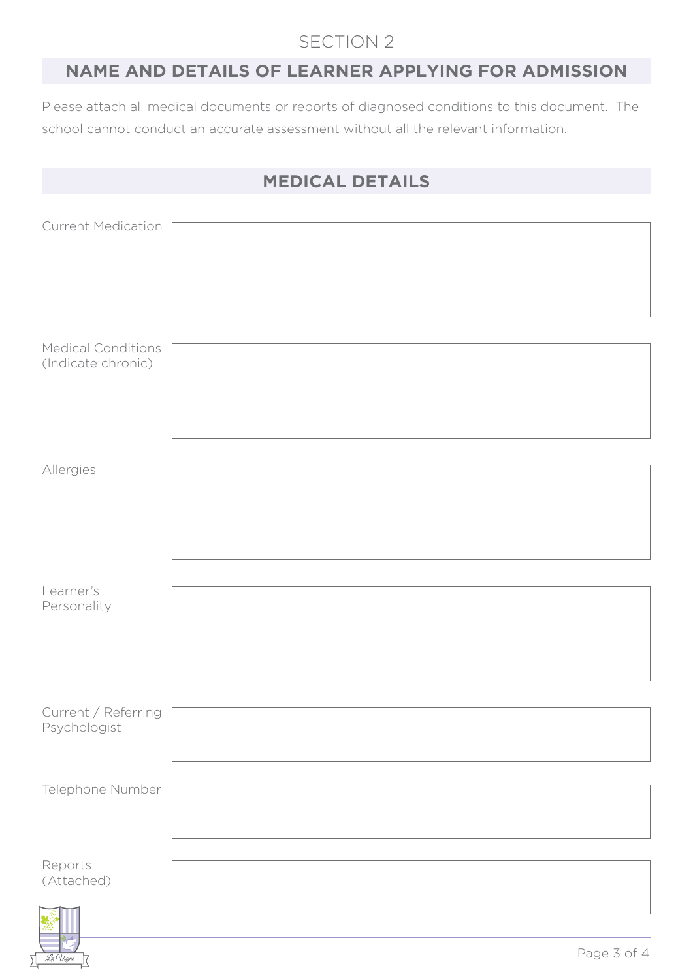## SECTION 2

## **NAME AND DETAILS OF LEARNER APPLYING FOR ADMISSION**

Please attach all medical documents or reports of diagnosed conditions to this document. The school cannot conduct an accurate assessment without all the relevant information.

|                                     | <b>MEDICAL DETAILS</b> |
|-------------------------------------|------------------------|
|                                     |                        |
| <b>Current Medication</b>           |                        |
| <b>Medical Conditions</b>           |                        |
| (Indicate chronic)                  |                        |
|                                     |                        |
| Allergies                           |                        |
|                                     |                        |
|                                     |                        |
| Learner's<br>Personality            |                        |
|                                     |                        |
| Current / Referring<br>Psychologist |                        |
| Telephone Number                    |                        |
|                                     |                        |
| Reports                             |                        |
| (Attached)                          |                        |
|                                     |                        |

La Vigne